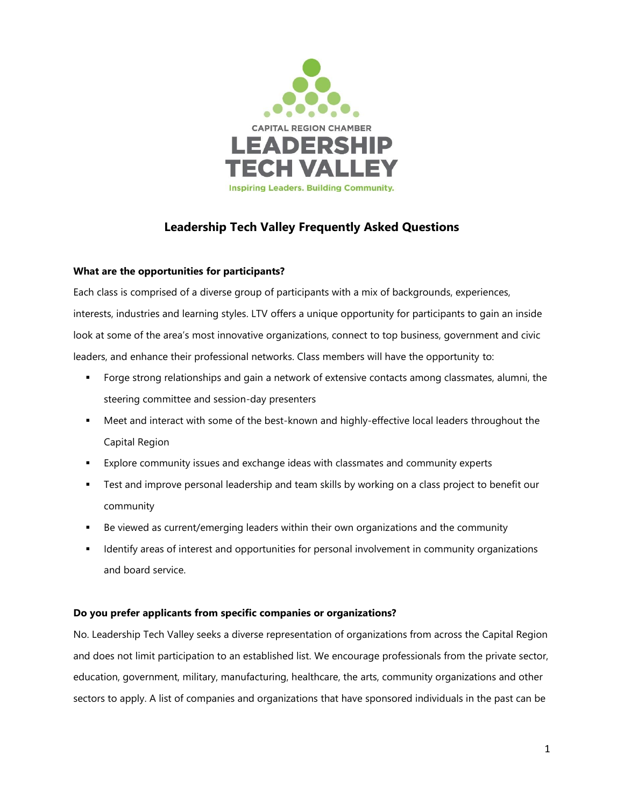

# **Leadership Tech Valley Frequently Asked Questions**

# **What are the opportunities for participants?**

Each class is comprised of a diverse group of participants with a mix of backgrounds, experiences, interests, industries and learning styles. LTV offers a unique opportunity for participants to gain an inside look at some of the area's most innovative organizations, connect to top business, government and civic leaders, and enhance their professional networks. Class members will have the opportunity to:

- **•** Forge strong relationships and gain a network of extensive contacts among classmates, alumni, the steering committee and session-day presenters
- Meet and interact with some of the best-known and highly-effective local leaders throughout the Capital Region
- Explore community issues and exchange ideas with classmates and community experts
- **•** Test and improve personal leadership and team skills by working on a class project to benefit our community
- Be viewed as current/emerging leaders within their own organizations and the community
- Identify areas of interest and opportunities for personal involvement in community organizations and board service.

# **Do you prefer applicants from specific companies or organizations?**

No. Leadership Tech Valley seeks a diverse representation of organizations from across the Capital Region and does not limit participation to an established list. We encourage professionals from the private sector, education, government, military, manufacturing, healthcare, the arts, community organizations and other sectors to apply. A list of companies and organizations that have sponsored individuals in the past can be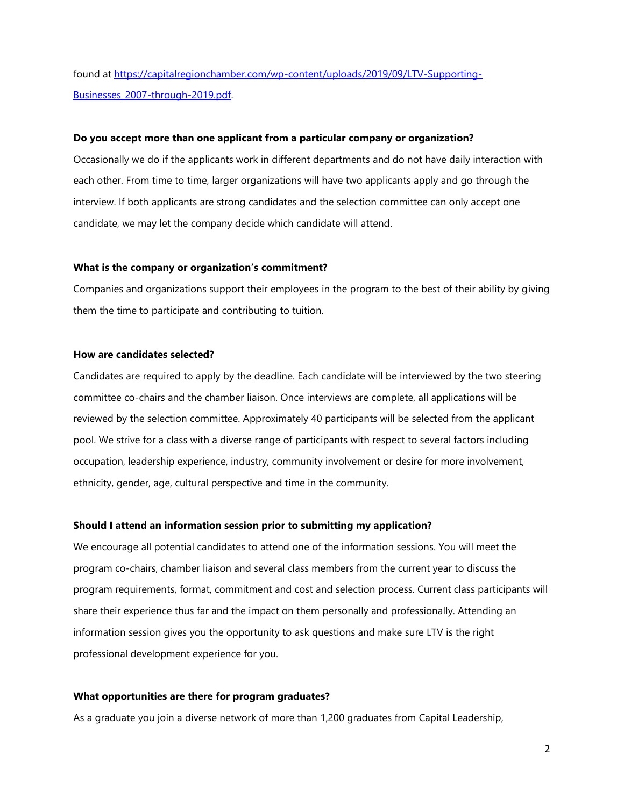found at [https://capitalregionchamber.com/wp-content/uploads/2019/09/LTV-Supporting-](https://capitalregionchamber.com/wp-content/uploads/2019/09/LTV-Supporting-Businesses_2007-through-2019.pdf)[Businesses\\_2007-through-2019.pdf.](https://capitalregionchamber.com/wp-content/uploads/2019/09/LTV-Supporting-Businesses_2007-through-2019.pdf)

### **Do you accept more than one applicant from a particular company or organization?**

Occasionally we do if the applicants work in different departments and do not have daily interaction with each other. From time to time, larger organizations will have two applicants apply and go through the interview. If both applicants are strong candidates and the selection committee can only accept one candidate, we may let the company decide which candidate will attend.

### **What is the company or organization's commitment?**

Companies and organizations support their employees in the program to the best of their ability by giving them the time to participate and contributing to tuition.

# **How are candidates selected?**

Candidates are required to apply by the deadline. Each candidate will be interviewed by the two steering committee co-chairs and the chamber liaison. Once interviews are complete, all applications will be reviewed by the selection committee. Approximately 40 participants will be selected from the applicant pool. We strive for a class with a diverse range of participants with respect to several factors including occupation, leadership experience, industry, community involvement or desire for more involvement, ethnicity, gender, age, cultural perspective and time in the community.

#### **Should I attend an information session prior to submitting my application?**

We encourage all potential candidates to attend one of the information sessions. You will meet the program co-chairs, chamber liaison and several class members from the current year to discuss the program requirements, format, commitment and cost and selection process. Current class participants will share their experience thus far and the impact on them personally and professionally. Attending an information session gives you the opportunity to ask questions and make sure LTV is the right professional development experience for you.

### **What opportunities are there for program graduates?**

As a graduate you join a diverse network of more than 1,200 graduates from Capital Leadership,